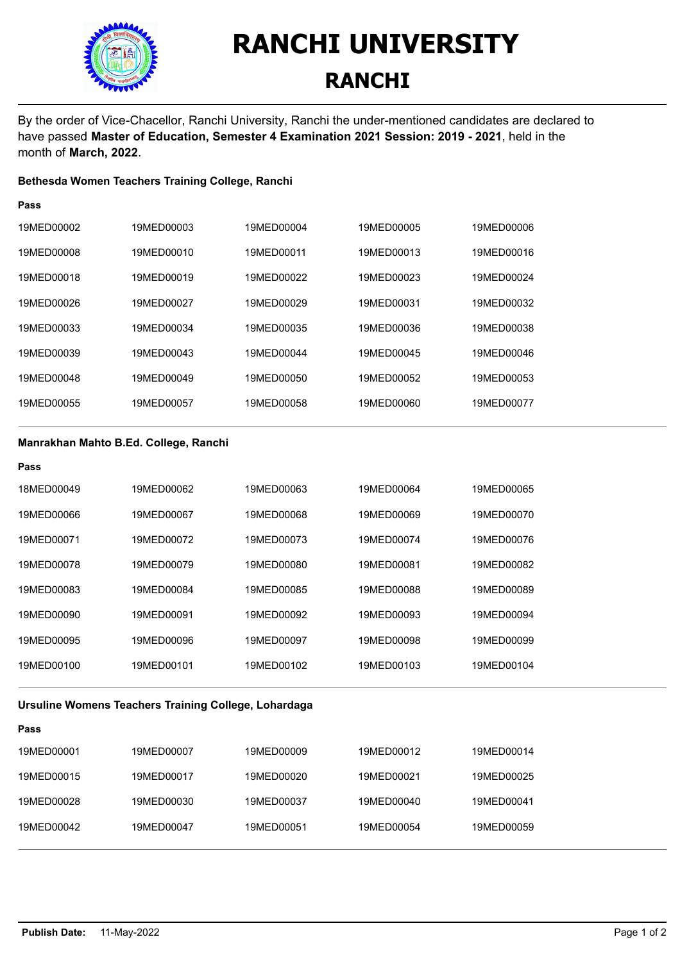

**Pass**

## **RANCHI UNIVERSITY RANCHI**

By the order of Vice-Chacellor, Ranchi University, Ranchi the under-mentioned candidates are declared to have passed **Master of Education, Semester 4 Examination 2021 Session: 2019 - 2021**, held in the month of **March, 2022**.

#### **Bethesda Women Teachers Training College, Ranchi**

| .          |            |            |            |            |
|------------|------------|------------|------------|------------|
| 19MED00002 | 19MED00003 | 19MED00004 | 19MED00005 | 19MED00006 |
| 19MED00008 | 19MED00010 | 19MED00011 | 19MED00013 | 19MED00016 |
| 19MED00018 | 19MED00019 | 19MED00022 | 19MED00023 | 19MED00024 |
| 19MED00026 | 19MED00027 | 19MED00029 | 19MED00031 | 19MED00032 |
| 19MED00033 | 19MED00034 | 19MED00035 | 19MED00036 | 19MED00038 |
| 19MED00039 | 19MED00043 | 19MED00044 | 19MED00045 | 19MED00046 |
| 19MED00048 | 19MED00049 | 19MED00050 | 19MED00052 | 19MED00053 |
| 19MED00055 | 19MED00057 | 19MED00058 | 19MED00060 | 19MED00077 |
|            |            |            |            |            |

#### **Manrakhan Mahto B.Ed. College, Ranchi**

| Pass       |            |            |            |            |
|------------|------------|------------|------------|------------|
| 18MED00049 | 19MED00062 | 19MED00063 | 19MED00064 | 19MED00065 |
| 19MED00066 | 19MED00067 | 19MED00068 | 19MED00069 | 19MED00070 |
| 19MED00071 | 19MED00072 | 19MED00073 | 19MED00074 | 19MED00076 |
| 19MED00078 | 19MED00079 | 19MED00080 | 19MED00081 | 19MED00082 |
| 19MED00083 | 19MED00084 | 19MED00085 | 19MED00088 | 19MED00089 |
| 19MED00090 | 19MED00091 | 19MED00092 | 19MED00093 | 19MED00094 |
| 19MED00095 | 19MED00096 | 19MED00097 | 19MED00098 | 19MED00099 |
| 19MED00100 | 19MED00101 | 19MED00102 | 19MED00103 | 19MED00104 |

#### **Ursuline Womens Teachers Training College, Lohardaga**

| Pass       |            |            |            |            |
|------------|------------|------------|------------|------------|
| 19MED00001 | 19MED00007 | 19MED00009 | 19MED00012 | 19MED00014 |
| 19MED00015 | 19MED00017 | 19MED00020 | 19MED00021 | 19MED00025 |
| 19MED00028 | 19MED00030 | 19MED00037 | 19MED00040 | 19MED00041 |
| 19MED00042 | 19MED00047 | 19MED00051 | 19MED00054 | 19MED00059 |
|            |            |            |            |            |